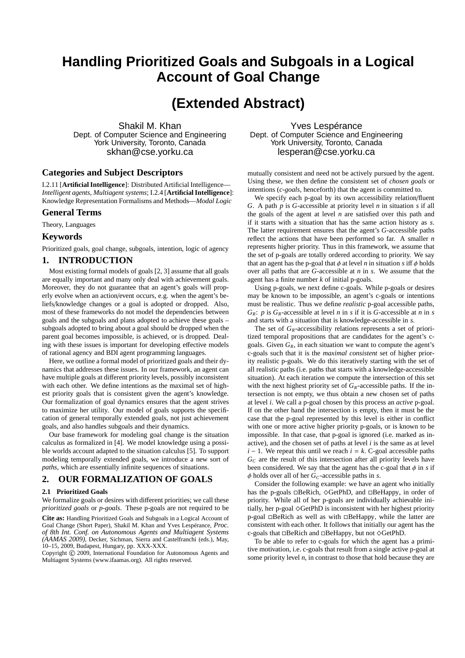# **Handling Prioritized Goals and Subgoals in a Logical Account of Goal Change**

## **(Extended Abstract)**

Shakil M. Khan Dept. of Computer Science and Engineering York University, Toronto, Canada skhan@cse.yorku.ca

## **Categories and Subject Descriptors**

I.2.11 [**Artificial Intelligence**]: Distributed Artificial Intelligence— *Intelligent agents, Multiagent systems*; I.2.4 [**Artificial Intelligence**]: Knowledge Representation Formalisms and Methods—*Modal Logic*

### **General Terms**

Theory, Languages

## **Keywords**

Prioritized goals, goal change, subgoals, intention, logic of agency

## **1. INTRODUCTION**

Most existing formal models of goals [2, 3] assume that all goals are equally important and many only deal with achievement goals. Moreover, they do not guarantee that an agent's goals will properly evolve when an action/event occurs, e.g. when the agent's beliefs/knowledge changes or a goal is adopted or dropped. Also, most of these frameworks do not model the dependencies between goals and the subgoals and plans adopted to achieve these goals – subgoals adopted to bring about a goal should be dropped when the parent goal becomes impossible, is achieved, or is dropped. Dealing with these issues is important for developing effective models of rational agency and BDI agent programming languages.

Here, we outline a formal model of prioritized goals and their dynamics that addresses these issues. In our framework, an agent can have multiple goals at different priority levels, possibly inconsistent with each other. We define intentions as the maximal set of highest priority goals that is consistent given the agent's knowledge. Our formalization of goal dynamics ensures that the agent strives to maximize her utility. Our model of goals supports the specification of general temporally extended goals, not just achievement goals, and also handles subgoals and their dynamics.

Our base framework for modeling goal change is the situation calculus as formalized in [4]. We model knowledge using a possible worlds account adapted to the situation calculus [5]. To support modeling temporally extended goals, we introduce a new sort of *paths*, which are essentially infinite sequences of situations.

## **2. OUR FORMALIZATION OF GOALS**

#### **2.1 Prioritized Goals**

We formalize goals or desires with different priorities; we call these *prioritized goals* or *p-goals*. These p-goals are not required to be

**Cite as:** Handling Prioritized Goals and Subgoals in a Logical Account of Goal Change (Short Paper), Shakil M. Khan and Yves Lespérance, *Proc. of 8th Int. Conf. on Autonomous Agents and Multiagent Systems (AAMAS 2009)*, Decker, Sichman, Sierra and Castelfranchi (eds.), May, 10–15, 2009, Budapest, Hungary, pp. XXX-XXX.

Copyright (C) 2009, International Foundation for Autonomous Agents and Multiagent Systems (www.ifaamas.org). All rights reserved.

Yves Lespérance Dept. of Computer Science and Engineering York University, Toronto, Canada lesperan@cse.yorku.ca

mutually consistent and need not be actively pursued by the agent. Using these, we then define the consistent set of *chosen goals* or intentions (*c-goals*, henceforth) that the agent is committed to.

We specify each p-goal by its own accessibility relation/fluent *G*. A path *p* is *G*-accessible at priority level *n* in situation *s* if all the goals of the agent at level *n* are satisfied over this path and if it starts with a situation that has the same action history as *s*. The latter requirement ensures that the agent's *G*-accessible paths reflect the actions that have been performed so far. A smaller *n* represents higher priority. Thus in this framework, we assume that the set of p-goals are totally ordered according to priority. We say that an agent has the p-goal that  $\phi$  at level *n* in situation *s* iff  $\phi$  holds over all paths that are *G*-accessible at *n* in *s*. We assume that the agent has a finite number *k* of initial p-goals.

Using p-goals, we next define c-goals. While p-goals or desires may be known to be impossible, an agent's c-goals or intentions must be realistic. Thus we define *realistic* p-goal accessible paths,  $G_R$ : *p* is  $G_R$ -accessible at level *n* in *s* if it is *G*-accessible at *n* in *s* and starts with a situation that is knowledge-accessible in *s*.

The set of *GR*-accessibility relations represents a set of prioritized temporal propositions that are candidates for the agent's cgoals. Given  $G_R$ , in each situation we want to compute the agent's c-goals such that it is the *maximal consistent* set of higher priority realistic p-goals. We do this iteratively starting with the set of all realistic paths (i.e. paths that starts with a knowledge-accessible situation). At each iteration we compute the intersection of this set with the next highest priority set of  $G_R$ -accessible paths. If the intersection is not empty, we thus obtain a new chosen set of paths at level *i*. We call a p-goal chosen by this process an *active* p-goal. If on the other hand the intersection is empty, then it must be the case that the p-goal represented by this level is either in conflict with one or more active higher priority p-goals, or is known to be impossible. In that case, that p-goal is ignored (i.e. marked as inactive), and the chosen set of paths at level *i* is the same as at level  $i - 1$ . We repeat this until we reach  $i = k$ . C-goal accessible paths *G<sup>C</sup>* are the result of this intersection after all priority levels have been considered. We say that the agent has the c-goal that  $\phi$  in *s* if  $\phi$  holds over all of her *G*<sub>*C*</sub>-accessible paths in *s*.

Consider the following example: we have an agent who initially has the p-goals  $\Box$ BeRich,  $\Diamond$ GetPhD, and  $\Box$ BeHappy, in order of priority. While all of her p-goals are individually achievable initially, her p-goal  $\Diamond$ GetPhD is inconsistent with her highest priority  $p$ -goal  $\Box$ BeRich as well as with  $\Box$ BeHappy, while the latter are consistent with each other. It follows that initially our agent has the c-goals that  $\Box$ BeRich and  $\Box$ BeHappy, but not  $\Diamond$ GetPhD.

To be able to refer to c-goals for which the agent has a primitive motivation, i.e. c-goals that result from a single active p-goal at some priority level *n*, in contrast to those that hold because they are